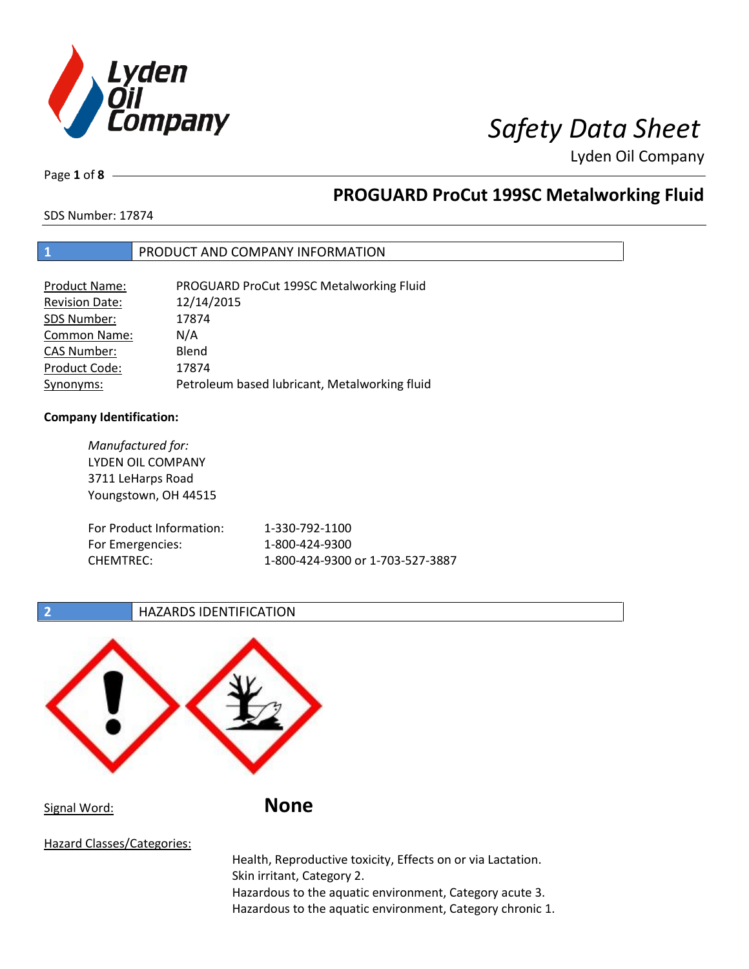

Page **1** of **8**

# **PROGUARD ProCut 199SC Metalworking Fluid**

SDS Number: 17874

### **1** PRODUCT AND COMPANY INFORMATION

| Product Name:         | PROGUARD ProCut 199SC Metalworking Fluid      |
|-----------------------|-----------------------------------------------|
| <b>Revision Date:</b> | 12/14/2015                                    |
| SDS Number:           | 17874                                         |
| <b>Common Name:</b>   | N/A                                           |
| <b>CAS Number:</b>    | Blend                                         |
| Product Code:         | 17874                                         |
| Synonyms:             | Petroleum based lubricant, Metalworking fluid |

### **Company Identification:**

| Manufactured for:<br>LYDEN OIL COMPANY<br>3711 LeHarps Road<br>Youngstown, OH 44515 |                                  |
|-------------------------------------------------------------------------------------|----------------------------------|
| For Product Information:                                                            | 1-330-792-1100                   |
| For Emergencies:                                                                    | 1-800-424-9300                   |
| <b>CHEMTREC:</b>                                                                    | 1-800-424-9300 or 1-703-527-3887 |

**2 HAZARDS IDENTIFICATION** 



Health, Reproductive toxicity, Effects on or via Lactation. Skin irritant, Category 2. Hazardous to the aquatic environment, Category acute 3. Hazardous to the aquatic environment, Category chronic 1.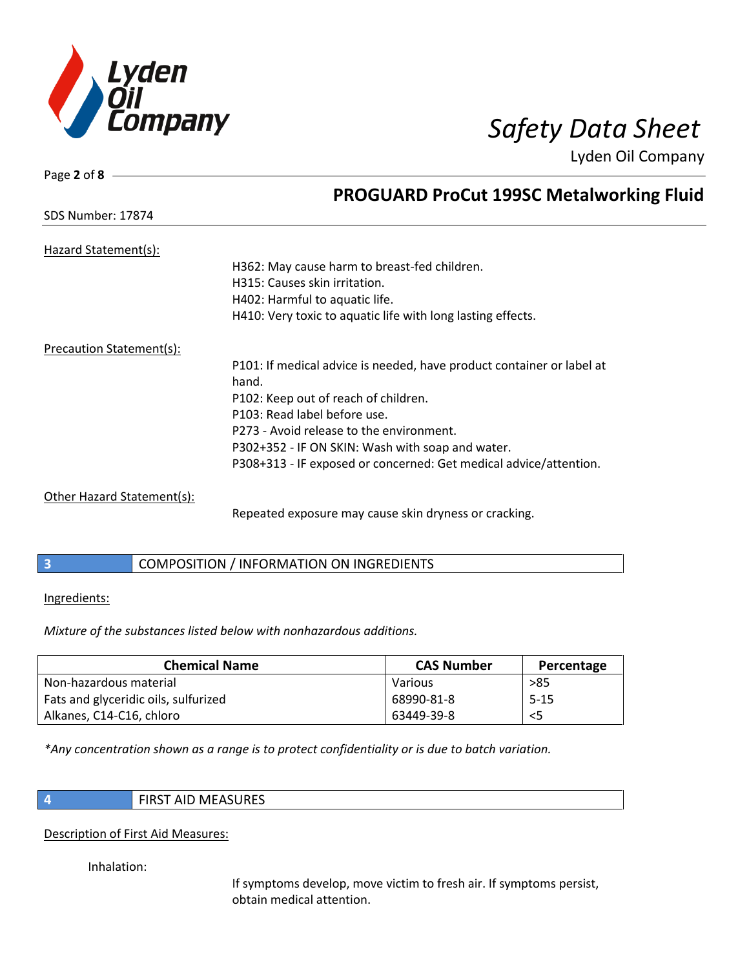

Page **2** of **8**

SDS Number: 17874

Lyden Oil Company

# **PROGUARD ProCut 199SC Metalworking Fluid**

| Hazard Statement(s):       |                                                                       |
|----------------------------|-----------------------------------------------------------------------|
|                            | H362: May cause harm to breast-fed children.                          |
|                            | H315: Causes skin irritation.                                         |
|                            | H402: Harmful to aquatic life.                                        |
|                            | H410: Very toxic to aquatic life with long lasting effects.           |
| Precaution Statement(s):   |                                                                       |
|                            | P101: If medical advice is needed, have product container or label at |
|                            | hand.                                                                 |
|                            | P102: Keep out of reach of children.                                  |
|                            | P103: Read label before use.                                          |
|                            | P273 - Avoid release to the environment.                              |
|                            | P302+352 - IF ON SKIN: Wash with soap and water.                      |
|                            | P308+313 - IF exposed or concerned: Get medical advice/attention.     |
| Other Hazard Statement(s): |                                                                       |
|                            | Repeated exposure may cause skin dryness or cracking.                 |

### **3** COMPOSITION / INFORMATION ON INGREDIENTS

Ingredients:

*Mixture of the substances listed below with nonhazardous additions.*

| <b>Chemical Name</b>                 | <b>CAS Number</b> | Percentage |
|--------------------------------------|-------------------|------------|
| Non-hazardous material               | Various           | >85        |
| Fats and glyceridic oils, sulfurized | 68990-81-8        | $5 - 15$   |
| Alkanes, C14-C16, chloro             | 63449-39-8        | $<$ 5      |

*\*Any concentration shown as a range is to protect confidentiality or is due to batch variation.*

### **4** FIRST AID MEASURES

### Description of First Aid Measures:

Inhalation:

If symptoms develop, move victim to fresh air. If symptoms persist, obtain medical attention.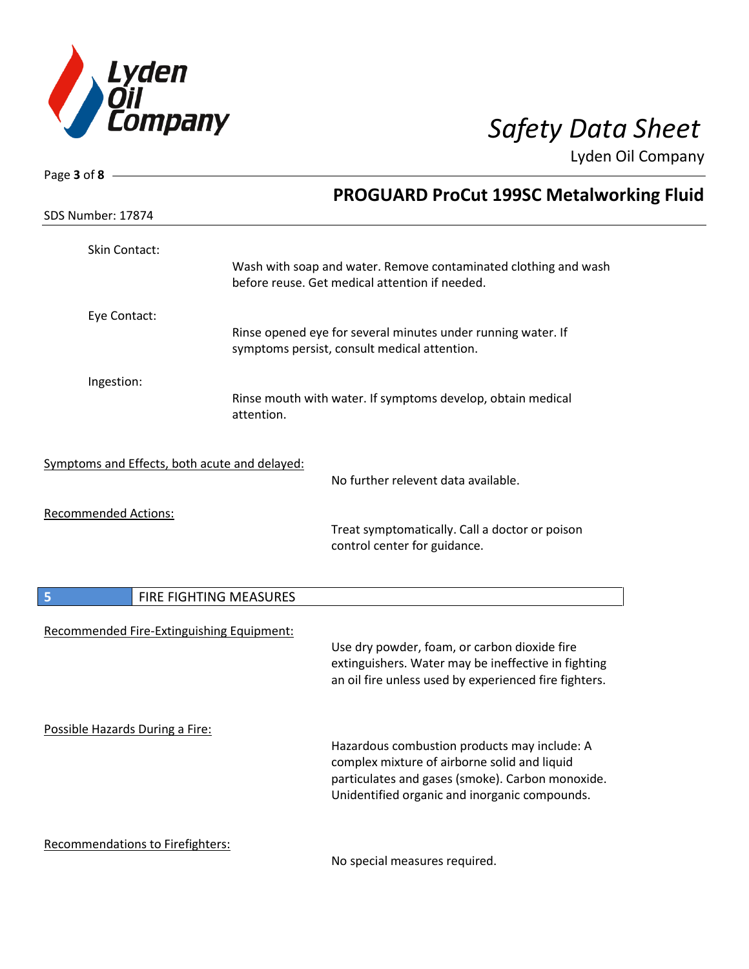

| Page 3 of 8                                   |                        |                                                                                                                   |
|-----------------------------------------------|------------------------|-------------------------------------------------------------------------------------------------------------------|
|                                               |                        | <b>PROGUARD ProCut 199SC Metalworking Fluid</b>                                                                   |
| SDS Number: 17874                             |                        |                                                                                                                   |
| Skin Contact:                                 |                        |                                                                                                                   |
|                                               |                        | Wash with soap and water. Remove contaminated clothing and wash<br>before reuse. Get medical attention if needed. |
| Eye Contact:                                  |                        |                                                                                                                   |
|                                               |                        | Rinse opened eye for several minutes under running water. If<br>symptoms persist, consult medical attention.      |
| Ingestion:                                    |                        |                                                                                                                   |
|                                               | attention.             | Rinse mouth with water. If symptoms develop, obtain medical                                                       |
| Symptoms and Effects, both acute and delayed: |                        |                                                                                                                   |
|                                               |                        | No further relevent data available.                                                                               |
| <b>Recommended Actions:</b>                   |                        |                                                                                                                   |
|                                               |                        | Treat symptomatically. Call a doctor or poison<br>control center for guidance.                                    |
| 5                                             | FIRE FIGHTING MEASURES |                                                                                                                   |
| Recommended Fire-Extinguishing Equipment:     |                        |                                                                                                                   |
|                                               |                        | Use dry powder, foam, or carbon dioxide fire                                                                      |
|                                               |                        | extinguishers. Water may be ineffective in fighting<br>an oil fire unless used by experienced fire fighters.      |
| Possible Hazards During a Fire:               |                        | Hazardous combustion products may include: A                                                                      |
|                                               |                        | complex mixture of airborne solid and liquid                                                                      |
|                                               |                        | particulates and gases (smoke). Carbon monoxide.<br>Unidentified organic and inorganic compounds.                 |
| Recommendations to Firefighters:              |                        |                                                                                                                   |
|                                               |                        | No special measures required                                                                                      |

No special measures required.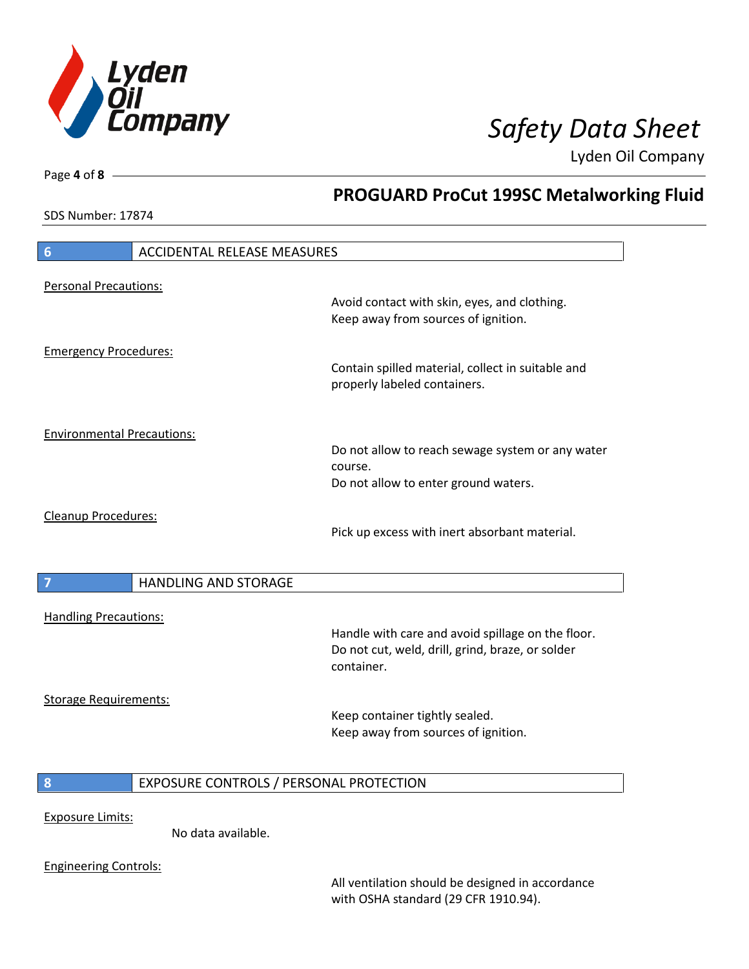

**PROGUARD ProCut 199SC Metalworking Fluid**

Lyden Oil Company

SDS Number: 17874

Page **4** of **8**

# **6** ACCIDENTAL RELEASE MEASURES Personal Precautions: Avoid contact with skin, eyes, and clothing. Keep away from sources of ignition. Emergency Procedures: Contain spilled material, collect in suitable and properly labeled containers. Environmental Precautions: Do not allow to reach sewage system or any water course. Do not allow to enter ground waters. Cleanup Procedures: Pick up excess with inert absorbant material. **7 HANDLING AND STORAGE** Handling Precautions: Handle with care and avoid spillage on the floor. Do not cut, weld, drill, grind, braze, or solder container. Storage Requirements: Keep container tightly sealed. Keep away from sources of ignition. **8** EXPOSURE CONTROLS / PERSONAL PROTECTION Exposure Limits: No data available.

Engineering Controls:

All ventilation should be designed in accordance with OSHA standard (29 CFR 1910.94).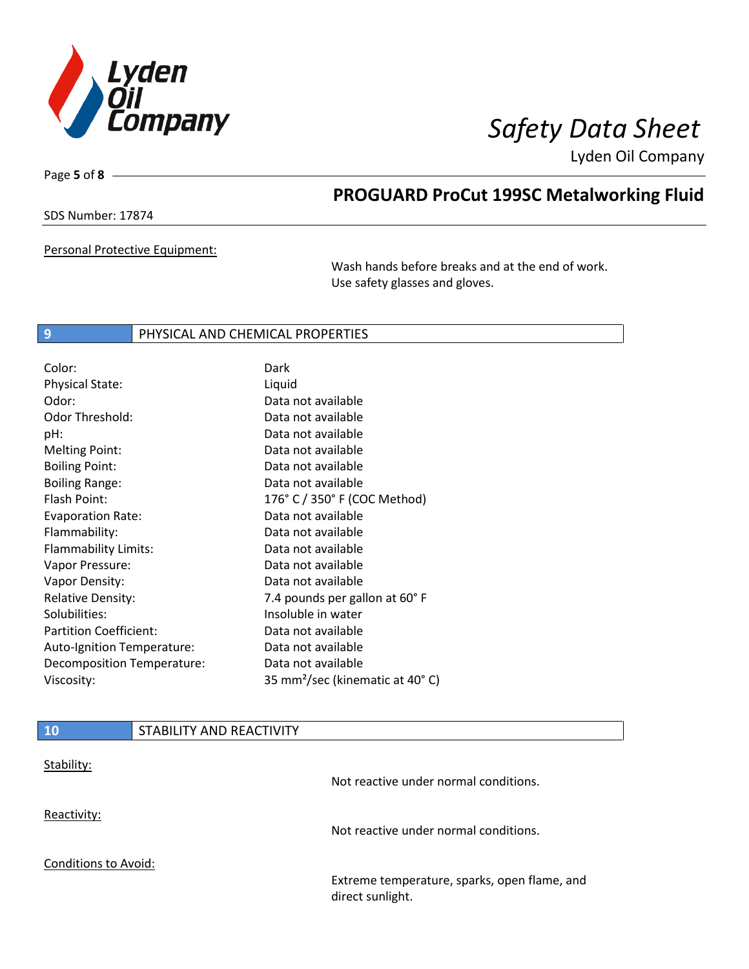

Page **5** of **8**

# **PROGUARD ProCut 199SC Metalworking Fluid**

SDS Number: 17874

Personal Protective Equipment:

Wash hands before breaks and at the end of work. Use safety glasses and gloves.

### **9** PHYSICAL AND CHEMICAL PROPERTIES

| Color:                        | Dark                                        |
|-------------------------------|---------------------------------------------|
| <b>Physical State:</b>        | Liquid                                      |
| Odor:                         | Data not available                          |
| Odor Threshold:               | Data not available                          |
| pH:                           | Data not available                          |
| <b>Melting Point:</b>         | Data not available                          |
| <b>Boiling Point:</b>         | Data not available                          |
| <b>Boiling Range:</b>         | Data not available                          |
| Flash Point:                  | 176° C / 350° F (COC Method)                |
| <b>Evaporation Rate:</b>      | Data not available                          |
| Flammability:                 | Data not available                          |
| Flammability Limits:          | Data not available                          |
| Vapor Pressure:               | Data not available                          |
| Vapor Density:                | Data not available                          |
| <b>Relative Density:</b>      | 7.4 pounds per gallon at 60° F              |
| Solubilities:                 | Insoluble in water                          |
| <b>Partition Coefficient:</b> | Data not available                          |
| Auto-Ignition Temperature:    | Data not available                          |
| Decomposition Temperature:    | Data not available                          |
| Viscosity:                    | 35 mm <sup>2</sup> /sec (kinematic at 40°C) |

| <b>10</b>            | STABILITY AND REACTIVITY |                                                                  |
|----------------------|--------------------------|------------------------------------------------------------------|
| Stability:           |                          | Not reactive under normal conditions.                            |
| Reactivity:          |                          | Not reactive under normal conditions.                            |
| Conditions to Avoid: |                          |                                                                  |
|                      |                          | Extreme temperature, sparks, open flame, and<br>direct sunlight. |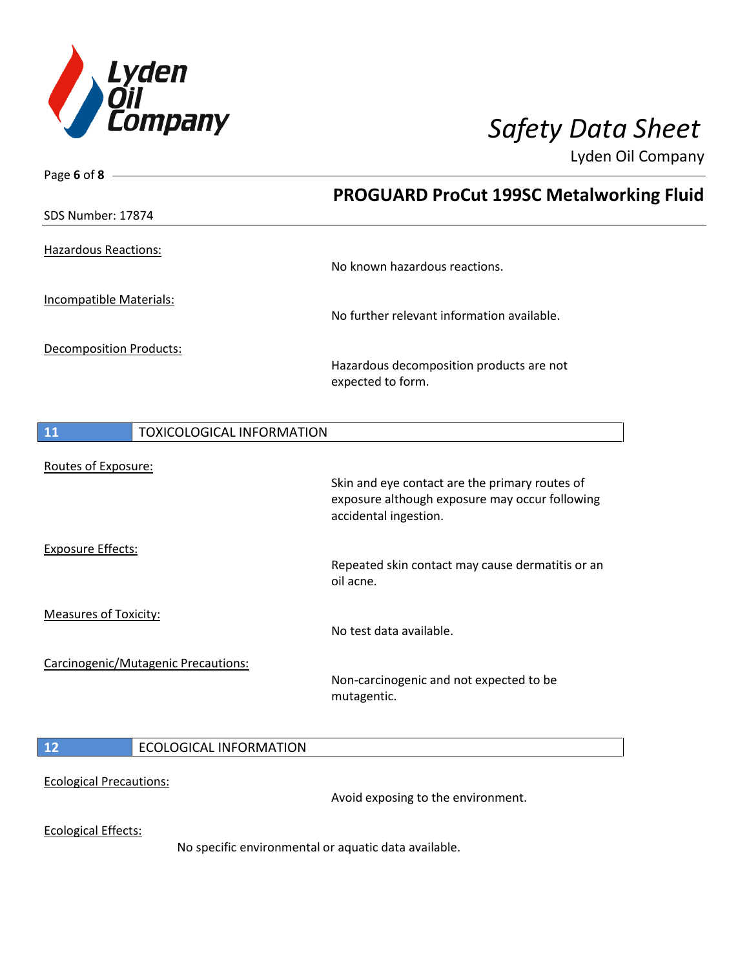

| Page 6 of $8 -$                        |                                                                         |
|----------------------------------------|-------------------------------------------------------------------------|
|                                        | <b>PROGUARD ProCut 199SC Metalworking Fluid</b>                         |
| SDS Number: 17874                      |                                                                         |
| Hazardous Reactions:                   |                                                                         |
|                                        | No known hazardous reactions.                                           |
| Incompatible Materials:                | No further relevant information available.                              |
| <b>Decomposition Products:</b>         | Hazardous decomposition products are not                                |
|                                        | expected to form.                                                       |
|                                        |                                                                         |
| 11<br><b>TOXICOLOGICAL INFORMATION</b> |                                                                         |
| Routes of Exposure:                    |                                                                         |
|                                        | Skin and eye contact are the primary routes of                          |
|                                        | exposure although exposure may occur following<br>accidental ingestion. |
| <b>Exposure Effects:</b>               |                                                                         |
|                                        | Repeated skin contact may cause dermatitis or an<br>oil acne.           |
| <b>Measures of Toxicity:</b>           |                                                                         |
|                                        | No test data available.                                                 |
| Carcinogenic/Mutagenic Precautions:    |                                                                         |
|                                        | Non-carcinogenic and not expected to be<br>mutagentic.                  |
| 12<br><b>ECOLOGICAL INFORMATION</b>    |                                                                         |
| <b>Ecological Precautions:</b>         |                                                                         |
|                                        | Avoid exposing to the environment.                                      |
| <b>Ecological Effects:</b>             |                                                                         |
|                                        | No specific environmental or aquatic data available.                    |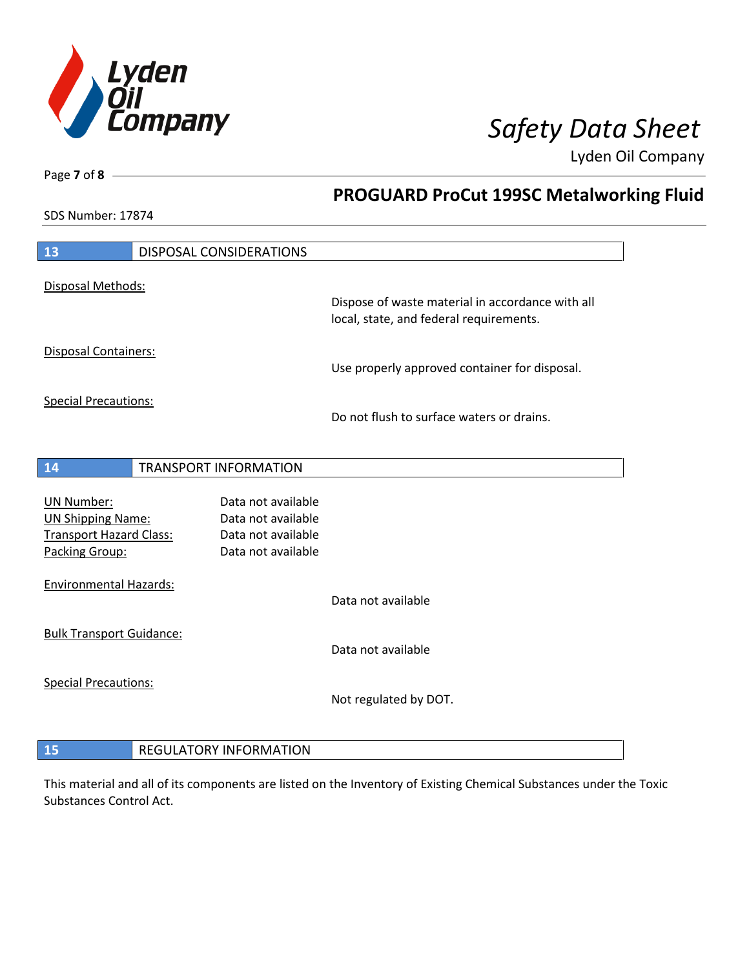

**PROGUARD ProCut 199SC Metalworking Fluid**

Lyden Oil Company

SDS Number: 17874

Page **7** of **8**

 $\overline{\phantom{a}}$ 

| 13                                                                                                | DISPOSAL CONSIDERATIONS                                                              |                                                                                             |
|---------------------------------------------------------------------------------------------------|--------------------------------------------------------------------------------------|---------------------------------------------------------------------------------------------|
| Disposal Methods:                                                                                 |                                                                                      | Dispose of waste material in accordance with all<br>local, state, and federal requirements. |
| <b>Disposal Containers:</b>                                                                       |                                                                                      | Use properly approved container for disposal.                                               |
| <b>Special Precautions:</b>                                                                       |                                                                                      | Do not flush to surface waters or drains.                                                   |
| 14                                                                                                | <b>TRANSPORT INFORMATION</b>                                                         |                                                                                             |
| <b>UN Number:</b><br><b>UN Shipping Name:</b><br><b>Transport Hazard Class:</b><br>Packing Group: | Data not available<br>Data not available<br>Data not available<br>Data not available |                                                                                             |
| <b>Environmental Hazards:</b>                                                                     |                                                                                      | Data not available                                                                          |
| <b>Bulk Transport Guidance:</b>                                                                   |                                                                                      | Data not available                                                                          |
| <b>Special Precautions:</b>                                                                       |                                                                                      | Not regulated by DOT.                                                                       |
| 15                                                                                                | <b>REGULATORY INFORMATION</b>                                                        |                                                                                             |

This material and all of its components are listed on the Inventory of Existing Chemical Substances under the Toxic Substances Control Act.